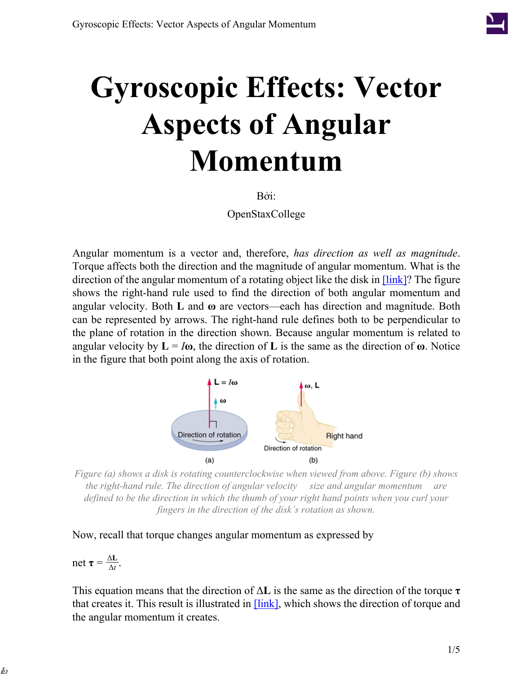

# **Gyroscopic Effects: Vector Aspects of Angular Momentum**

Bởi:

OpenStaxCollege

Angular momentum is a vector and, therefore, *has direction as well as magnitude*. Torque affects both the direction and the magnitude of angular momentum. What is the direction of the angular momentum of a rotating object like the disk in  $[\text{link}]$ ? The figure shows the right-hand rule used to find the direction of both angular momentum and angular velocity. Both **L** and **ω** are vectors—each has direction and magnitude. Both can be represented by arrows. The right-hand rule defines both to be perpendicular to the plane of rotation in the direction shown. Because angular momentum is related to angular velocity by  $\mathbf{L} = I\boldsymbol{\omega}$ , the direction of **L** is the same as the direction of  $\boldsymbol{\omega}$ . Notice in the figure that both point along the axis of rotation.



<span id="page-0-0"></span>*Figure (a) shows a disk is rotating counterclockwise when viewed from above. Figure (b) shows the right-hand rule. The direction of angular velocity size and angular momentum are defined to be the direction in which the thumb of your right hand points when you curl your fingers in the direction of the disk's rotation as shown.*

Now, recall that torque changes angular momentum as expressed by

$$
net \tau = \frac{\Delta L}{\Delta t}.
$$

**ω L**

This equation means that the direction of Δ**L** is the same as the direction of the torque **τ** that creates it. This result is illustrated in **[\[link\]](#page-1-0)**, which shows the direction of torque and the angular momentum it creates.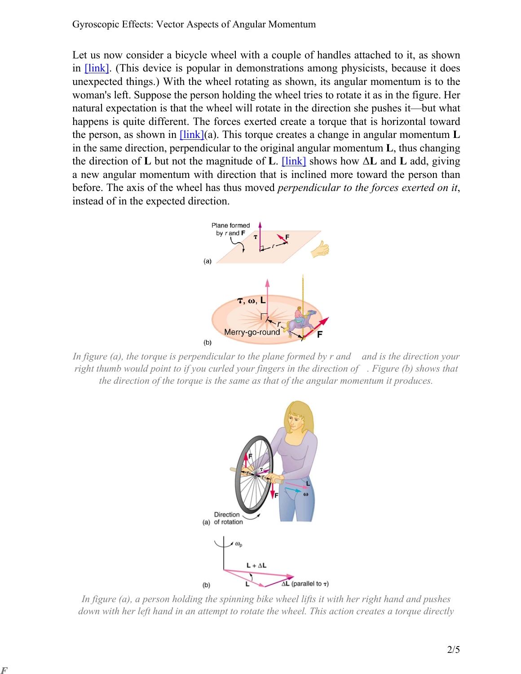Let us now consider a bicycle wheel with a couple of handles attached to it, as shown in [\[link\]](#page-1-1). (This device is popular in demonstrations among physicists, because it does unexpected things.) With the wheel rotating as shown, its angular momentum is to the woman's left. Suppose the person holding the wheel tries to rotate it as in the figure. Her natural expectation is that the wheel will rotate in the direction she pushes it—but what happens is quite different. The forces exerted create a torque that is horizontal toward the person, as shown in [\[link\]](#page-1-1)(a). This torque creates a change in angular momentum **L** in the same direction, perpendicular to the original angular momentum **L**, thus changing the direction of **L** but not the magnitude of **L**. [\[link\]](#page-1-1) shows how Δ**L** and **L** add, giving a new angular momentum with direction that is inclined more toward the person than before. The axis of the wheel has thus moved *perpendicular to the forces exerted on it*, instead of in the expected direction.



<span id="page-1-1"></span><span id="page-1-0"></span>*In figure (a), the torque is perpendicular to the plane formed by r and and is the direction your right thumb would point to if you curled your fingers in the direction of . Figure (b) shows that the direction of the torque is the same as that of the angular momentum it produces.*



*In figure (a), a person holding the spinning bike wheel lifts it with her right hand and pushes down with her left hand in an attempt to rotate the wheel. This action creates a torque directly*

**F**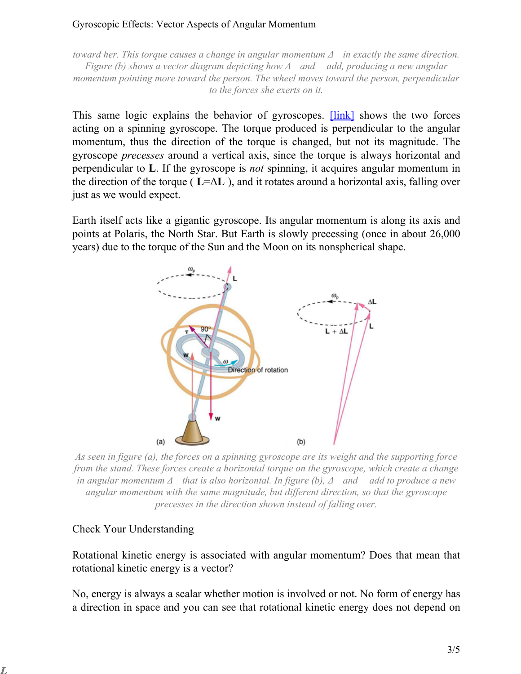#### Gyroscopic Effects: Vector Aspects of Angular Momentum

*toward her. This torque causes a change in angular momentum Δ in exactly the same direction. Figure (b) shows a vector diagram depicting how Δ and add, producing a new angular momentum pointing more toward the person. The wheel moves toward the person, perpendicular to the forces she exerts on it.*

This same logic explains the behavior of gyroscopes. **[\[link\]](#page-2-0)** shows the two forces acting on a spinning gyroscope. The torque produced is perpendicular to the angular momentum, thus the direction of the torque is changed, but not its magnitude. The gyroscope *precesses* around a vertical axis, since the torque is always horizontal and perpendicular to **L**. If the gyroscope is *not* spinning, it acquires angular momentum in the direction of the torque ( $\mathbf{L}=\Delta\mathbf{L}$ ), and it rotates around a horizontal axis, falling over just as we would expect.

<span id="page-2-0"></span>Earth itself acts like a gigantic gyroscope. Its angular momentum is along its axis and points at Polaris, the North Star. But Earth is slowly precessing (once in about 26,000 years) due to the torque of the Sun and the Moon on its nonspherical shape.



*As seen in figure (a), the forces on a spinning gyroscope are its weight and the supporting force from the stand. These forces create a horizontal torque on the gyroscope, which create a change in angular momentum Δ that is also horizontal. In figure (b), Δ and add to produce a new angular momentum with the same magnitude, but different direction, so that the gyroscope precesses in the direction shown instead of falling over.*

#### Check Your Understanding

**L**

Rotational kinetic energy is associated with angular momentum? Does that mean that rotational kinetic energy is a vector?

No, energy is always a scalar whether motion is involved or not. No form of energy has a direction in space and you can see that rotational kinetic energy does not depend on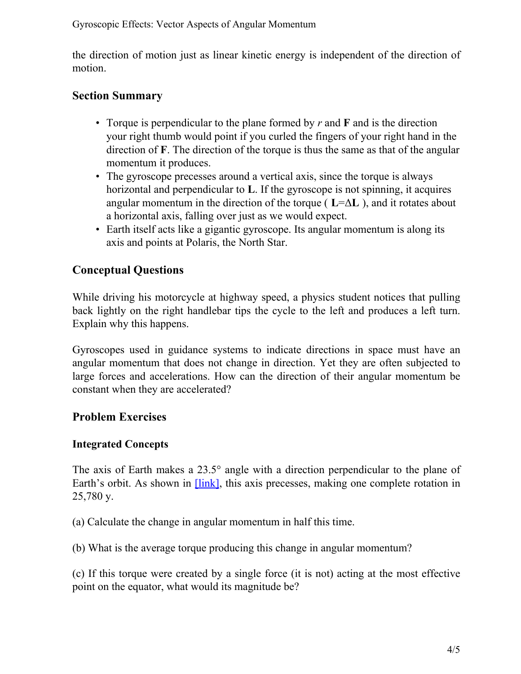the direction of motion just as linear kinetic energy is independent of the direction of motion.

## **Section Summary**

- Torque is perpendicular to the plane formed by *r* and **F** and is the direction your right thumb would point if you curled the fingers of your right hand in the direction of **F**. The direction of the torque is thus the same as that of the angular momentum it produces.
- The gyroscope precesses around a vertical axis, since the torque is always horizontal and perpendicular to **L**. If the gyroscope is not spinning, it acquires angular momentum in the direction of the torque ( $L = \Delta L$ ), and it rotates about a horizontal axis, falling over just as we would expect.
- Earth itself acts like a gigantic gyroscope. Its angular momentum is along its axis and points at Polaris, the North Star.

## **Conceptual Questions**

While driving his motorcycle at highway speed, a physics student notices that pulling back lightly on the right handlebar tips the cycle to the left and produces a left turn. Explain why this happens.

Gyroscopes used in guidance systems to indicate directions in space must have an angular momentum that does not change in direction. Yet they are often subjected to large forces and accelerations. How can the direction of their angular momentum be constant when they are accelerated?

## **Problem Exercises**

### **Integrated Concepts**

The axis of Earth makes a 23.5° angle with a direction perpendicular to the plane of Earth's orbit. As shown in [\[link\],](#page-4-0) this axis precesses, making one complete rotation in 25,780 y.

(a) Calculate the change in angular momentum in half this time.

(b) What is the average torque producing this change in angular momentum?

(c) If this torque were created by a single force (it is not) acting at the most effective point on the equator, what would its magnitude be?